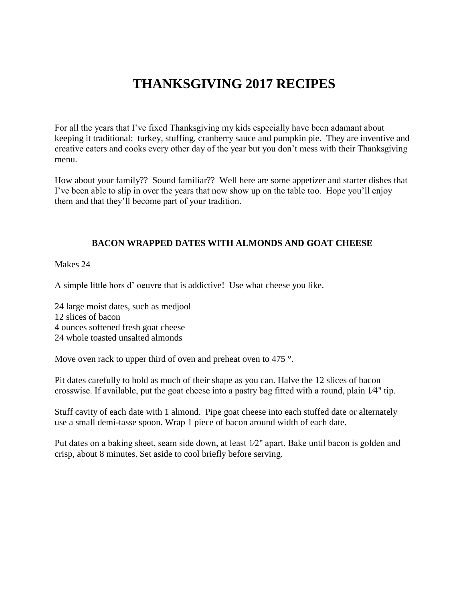# **THANKSGIVING 2017 RECIPES**

For all the years that I've fixed Thanksgiving my kids especially have been adamant about keeping it traditional: turkey, stuffing, cranberry sauce and pumpkin pie. They are inventive and creative eaters and cooks every other day of the year but you don't mess with their Thanksgiving menu.

How about your family?? Sound familiar?? Well here are some appetizer and starter dishes that I've been able to slip in over the years that now show up on the table too. Hope you'll enjoy them and that they'll become part of your tradition.

#### **BACON WRAPPED DATES WITH ALMONDS AND GOAT CHEESE**

Makes 24

A simple little hors d' oeuvre that is addictive! Use what cheese you like.

24 large moist dates, such as medjool 12 slices of bacon 4 ounces softened fresh goat cheese 24 whole toasted unsalted almonds

Move oven rack to upper third of oven and preheat oven to 475 °.

Pit dates carefully to hold as much of their shape as you can. Halve the 12 slices of bacon crosswise. If available, put the goat cheese into a pastry bag fitted with a round, plain 1⁄4" tip.

Stuff cavity of each date with 1 almond. Pipe goat cheese into each stuffed date or alternately use a small demi-tasse spoon. Wrap 1 piece of bacon around width of each date.

Put dates on a baking sheet, seam side down, at least 1⁄2" apart. Bake until bacon is golden and crisp, about 8 minutes. Set aside to cool briefly before serving.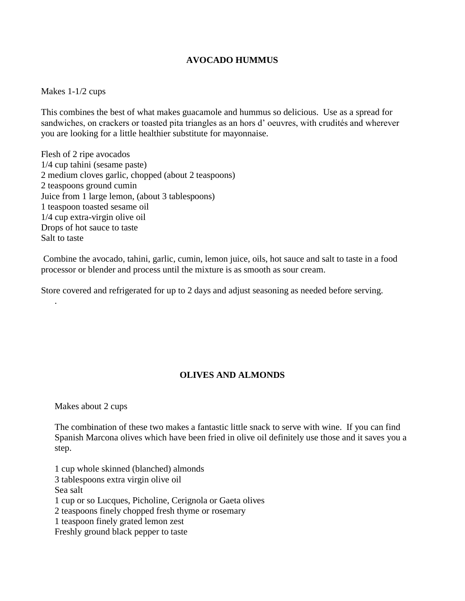#### **AVOCADO HUMMUS**

#### Makes 1-1/2 cups

This combines the best of what makes guacamole and hummus so delicious. Use as a spread for sandwiches, on crackers or toasted pita triangles as an hors d' oeuvres, with crudités and wherever you are looking for a little healthier substitute for mayonnaise.

Flesh of 2 ripe avocados 1/4 cup tahini (sesame paste) 2 medium cloves garlic, chopped (about 2 teaspoons) 2 teaspoons ground cumin Juice from 1 large lemon, (about 3 tablespoons) 1 teaspoon toasted sesame oil 1/4 cup extra-virgin olive oil Drops of hot sauce to taste Salt to taste

Combine the avocado, tahini, garlic, cumin, lemon juice, oils, hot sauce and salt to taste in a food processor or blender and process until the mixture is as smooth as sour cream.

Store covered and refrigerated for up to 2 days and adjust seasoning as needed before serving.

# **OLIVES AND ALMONDS**

Makes about 2 cups

.

The combination of these two makes a fantastic little snack to serve with wine. If you can find Spanish Marcona olives which have been fried in olive oil definitely use those and it saves you a step.

1 cup whole skinned (blanched) almonds 3 tablespoons extra virgin olive oil Sea salt 1 cup or so Lucques, Picholine, Cerignola or Gaeta olives 2 teaspoons finely chopped fresh thyme or rosemary 1 teaspoon finely grated lemon zest Freshly ground black pepper to taste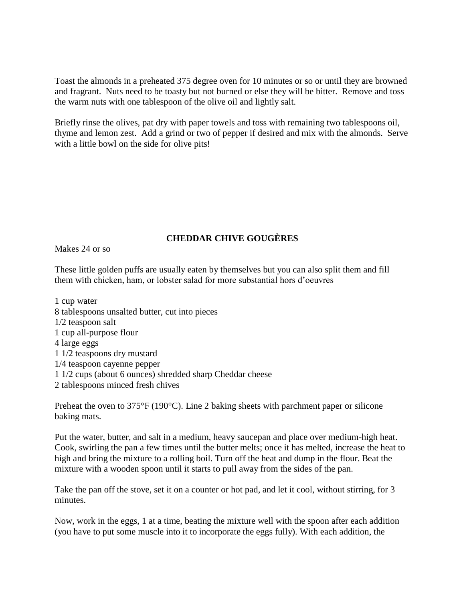Toast the almonds in a preheated 375 degree oven for 10 minutes or so or until they are browned and fragrant. Nuts need to be toasty but not burned or else they will be bitter. Remove and toss the warm nuts with one tablespoon of the olive oil and lightly salt.

Briefly rinse the olives, pat dry with paper towels and toss with remaining two tablespoons oil, thyme and lemon zest. Add a grind or two of pepper if desired and mix with the almonds. Serve with a little bowl on the side for olive pits!

# **CHEDDAR CHIVE GOUGÈRES**

Makes 24 or so

These little golden puffs are usually eaten by themselves but you can also split them and fill them with chicken, ham, or lobster salad for more substantial hors d'oeuvres

1 cup water 8 tablespoons unsalted butter, cut into pieces 1/2 teaspoon salt 1 cup all-purpose flour 4 large eggs 1 1/2 teaspoons dry mustard 1/4 teaspoon cayenne pepper 1 1/2 cups (about 6 ounces) shredded sharp Cheddar cheese 2 tablespoons minced fresh chives

Preheat the oven to  $375^{\circ}F(190^{\circ}C)$ . Line 2 baking sheets with parchment paper or silicone baking mats.

Put the water, butter, and salt in a medium, heavy saucepan and place over medium-high heat. Cook, swirling the pan a few times until the butter melts; once it has melted, increase the heat to high and bring the mixture to a rolling boil. Turn off the heat and dump in the flour. Beat the mixture with a wooden spoon until it starts to pull away from the sides of the pan.

Take the pan off the stove, set it on a counter or hot pad, and let it cool, without stirring, for 3 minutes.

Now, work in the eggs, 1 at a time, beating the mixture well with the spoon after each addition (you have to put some muscle into it to incorporate the eggs fully). With each addition, the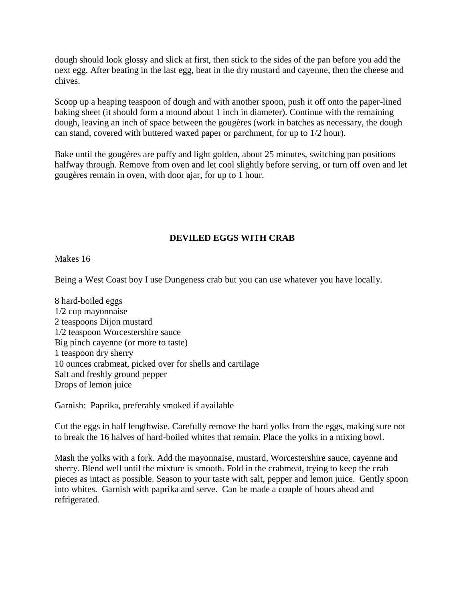dough should look glossy and slick at first, then stick to the sides of the pan before you add the next egg. After beating in the last egg, beat in the dry mustard and cayenne, then the cheese and chives.

Scoop up a heaping teaspoon of dough and with another spoon, push it off onto the paper-lined baking sheet (it should form a mound about 1 inch in diameter). Continue with the remaining dough, leaving an inch of space between the gougères (work in batches as necessary, the dough can stand, covered with buttered waxed paper or parchment, for up to 1/2 hour).

Bake until the gougères are puffy and light golden, about 25 minutes, switching pan positions halfway through. Remove from oven and let cool slightly before serving, or turn off oven and let gougères remain in oven, with door ajar, for up to 1 hour.

# **DEVILED EGGS WITH CRAB**

Makes 16

Being a West Coast boy I use Dungeness crab but you can use whatever you have locally.

8 hard-boiled eggs 1/2 cup mayonnaise 2 teaspoons Dijon mustard 1/2 teaspoon Worcestershire sauce Big pinch cayenne (or more to taste) 1 teaspoon dry sherry 10 ounces crabmeat, picked over for shells and cartilage Salt and freshly ground pepper Drops of lemon juice

Garnish: Paprika, preferably smoked if available

Cut the eggs in half lengthwise. Carefully remove the hard yolks from the eggs, making sure not to break the 16 halves of hard-boiled whites that remain. Place the yolks in a mixing bowl.

Mash the yolks with a fork. Add the mayonnaise, mustard, Worcestershire sauce, cayenne and sherry. Blend well until the mixture is smooth. Fold in the crabmeat, trying to keep the crab pieces as intact as possible. Season to your taste with salt, pepper and lemon juice. Gently spoon into whites. Garnish with paprika and serve. Can be made a couple of hours ahead and refrigerated.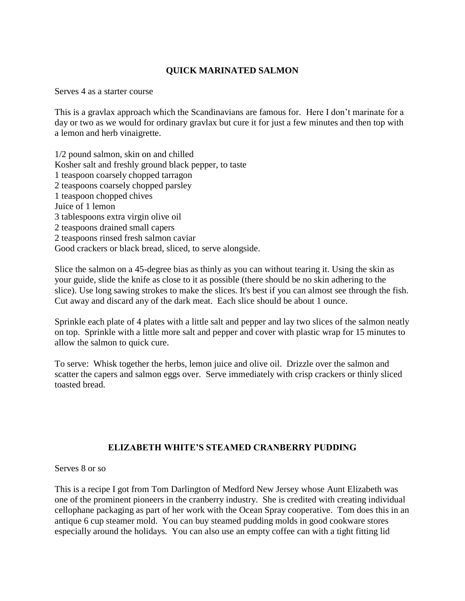#### **QUICK MARINATED SALMON**

Serves 4 as a starter course

This is a gravlax approach which the Scandinavians are famous for. Here I don't marinate for a day or two as we would for ordinary gravlax but cure it for just a few minutes and then top with a lemon and herb vinaigrette.

1/2 pound salmon, skin on and chilled Kosher salt and freshly ground black pepper, to taste 1 teaspoon coarsely chopped tarragon 2 teaspoons coarsely chopped parsley 1 teaspoon chopped chives Juice of 1 lemon 3 tablespoons extra virgin olive oil 2 teaspoons drained small capers 2 teaspoons rinsed fresh salmon caviar Good crackers or black bread, sliced, to serve alongside.

Slice the salmon on a 45-degree bias as thinly as you can without tearing it. Using the skin as your guide, slide the knife as close to it as possible (there should be no skin adhering to the slice). Use long sawing strokes to make the slices. It's best if you can almost see through the fish. Cut away and discard any of the dark meat. Each slice should be about 1 ounce.

Sprinkle each plate of 4 plates with a little salt and pepper and lay two slices of the salmon neatly on top. Sprinkle with a little more salt and pepper and cover with plastic wrap for 15 minutes to allow the salmon to quick cure.

To serve: Whisk together the herbs, lemon juice and olive oil. Drizzle over the salmon and scatter the capers and salmon eggs over. Serve immediately with crisp crackers or thinly sliced toasted bread.

# **ELIZABETH WHITE'S STEAMED CRANBERRY PUDDING**

Serves 8 or so

This is a recipe I got from Tom Darlington of Medford New Jersey whose Aunt Elizabeth was one of the prominent pioneers in the cranberry industry. She is credited with creating individual cellophane packaging as part of her work with the Ocean Spray cooperative. Tom does this in an antique 6 cup steamer mold. You can buy steamed pudding molds in good cookware stores especially around the holidays. You can also use an empty coffee can with a tight fitting lid